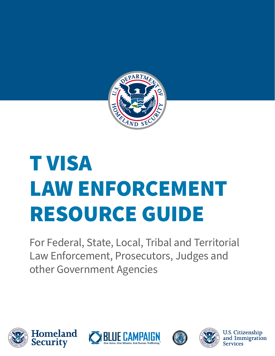

# T VISA LAW ENFORCEMENT RESOURCE GUIDE

For Federal, State, Local, Tribal and Territorial Law Enforcement, Prosecutors, Judges and other Government Agencies











U.S. Citizenship<br>and Immigration **Services**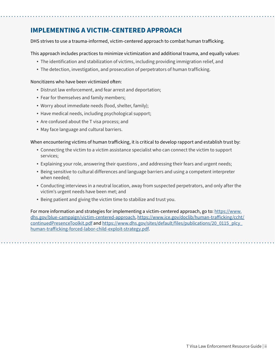### **IMPLEMENTING A VICTIM-CENTERED APPROACH**

DHS strives to use a trauma-informed, victim-centered approach to combat human traficking.

This approach includes practices to minimize victimization and additional trauma, and equally values:

- The identification and stabilization of victims, including providing immigration relief, and
- The detection, investigation, and prosecution of perpetrators of human trafficking.

### Noncitizens who have been victimized often:

- Distrust law enforcement, and fear arrest and deportation;
- Fear for themselves and family members;
- Worry about immediate needs (food, shelter, family);
- Have medical needs, including psychological support;
- Are confused about the T visa process; and
- May face language and cultural barriers.

### When encountering victims of human traficking, it is critical to develop rapport and establish trust by:

- Connecting the victim to a victim assistance specialist who can connect the victim to support services;
- Explaining your role, answering their questions , and addressing their fears and urgent needs;
- Being sensitive to cultural differences and language barriers and using a competent interpreter when needed;
- Conducting interviews in a neutral location, away from suspected perpetrators, and only after the victim's urgent needs have been met; and
- Being patient and giving the victim time to stabilize and trust you.

For more information and strategies for implementing a victim-centered approach, go to: [https://www.](https://www.dhs.gov/blue-campaign/victim-centered-approach) [dhs.gov/blue-campaign/victim-centered-approach](https://www.dhs.gov/blue-campaign/victim-centered-approach), [https://www.ice.gov/doclib/human-traficking/ccht/](https://www.ice.gov/doclib/human-trafficking/ccht/continuedPresenceToolkit.pdf) [continuedPresenceToolkit.pdf](https://www.ice.gov/doclib/human-trafficking/ccht/continuedPresenceToolkit.pdf) and https://www.dhs.gov/sites/default/files/publications/20\_0115\_plcy\_ [human-traficking-forced-labor-child-exploit-strategy.pdf](https://www.dhs.gov/sites/default/files/publications/20_0115_plcy_human-trafficking-forced-labor-child-exploit-strategy.pdf).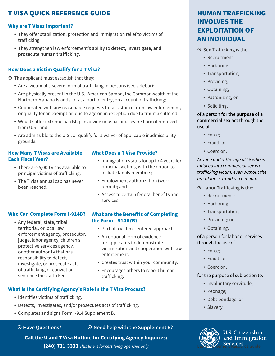### **T VISA QUICK REFERENCE GUIDE**

### **Why are T Visas Important?**

- They offer stabilization, protection and immigration relief to victims of trafficking
- They strengthen law enforcement's ability to **detect, investigate, and prosecute human trafficking.**

### **How Does a Victim Qualify for a T Visa?**

- $\odot$  The applicant must establish that they:
	- Are a victim of a severe form of trafficking in persons (see sidebar);
	- Are physically present in the U.S., American Samoa, the Commonwealth of the Northern Mariana Islands, or at a port of entry, on account of trafficking;
	- Cooperated with any reasonable requests for assistance from law enforcement, or qualify for an exemption due to age or an exception due to trauma suffered;
	- Would suffer extreme hardship involving unusual and severe harm if removed from U.S.; and
	- Are admissible to the U.S., or qualify for a waiver of applicable inadmissibility grounds.

### **How Many T Visas are Available Each Fiscal Year?**

- There are 5,000 visas available to principal victims of trafficking.
- The T visa annual cap has never been reached.

### **What Does a T Visa Provide?**

- Immigration status for up to 4 years for principal victims, with the option to include family members;
- Employment authorization (work permit); and
- Access to certain federal benefits and services.

### **Who Can Complete Form I-914B?**

 Any federal, state, tribal, territorial, or local law enforcement agency, prosecutor, judge, labor agency, children's protective services agency, or other authority that has responsibility to detect, investigate, or prosecute acts of trafficking, or convict or sentence the trafficker.

### **What are the Benefits of Completing the Form I-914B?B?**

- Part of a victim-centered approach.
- An optional form of evidence for applicants to demonstrate victimization and cooperation with law enforcement.
- Creates trust within your community.
- Encourages others to report human trafficking.

### **What is the Certifying Agency's Role in the T Visa Process?**

- Identifies victims of trafficking.
- Detects, investigates, and/or prosecutes acts of trafficking.
- Completes and signs Form I-914 Supplement B.

### ¤ **Have Questions?** ¤ **Need help with the Supplement B?**

### **Call the U and T Visa Hotline for Certifying Agency Inquiries:**

**(240) 721 3333** This line is for certifying agencies only **Law Enforcement Resource Guide | iii** 

### **HUMAN TRAFFICKING INVOLVES THE EXPLOITATION OF AN INDIVIDUAL**

### ¤ **Sex Trafficking is the:**

- Recruitment:
- Harboring;
- Transportation;
- Providing;
- Obtaining;
- Patronizing; or
- Soliciting,

### of a person **for the purpose of a commercial sex act** through the use of

- Force;
- Fraud: or
- Coercion.

### *Anyone under the age of 18 who is induced into commercial sex is a traficking victim, even without the use of force, fraud or coercion.*

- ¤ **Labor Trafficking is the:** 
	- Recruitment,;
	- Harboring;
	- Transportation;
	- Providing; or
	- Obtaining,

of a person for labor or services through the use of

- Force;
- Fraud: or
- Coercion,

### for the purpose of subjection to:

- Involuntary servitude;
- Peonage;
- Debt bondage; or
- Slavery.



**U.S. Citizenship** and Immigration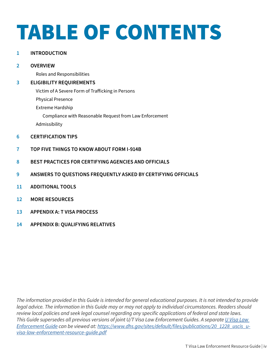# TABLE OF CONTENTS

### **1 [INTRODUCTION](#page-4-0)**

### **2 [OVERVIEW](#page-5-0)**

[Roles and Responsibilities](#page-5-0)

### **3 [ELIGIBILITY REQUIREMENTS](#page-6-0)**

[Victim of A Severe Form of Traficking in Persons](#page-6-0)

[Physical Presen](#page-7-0)ce

[Extreme Hardship](#page-7-0) 

[Compliance with Reasonable Request from Law Enforcement](#page-8-0)

[Admissibility](#page-8-0) 

- **6 [CERTIFICATION TIPS](#page-9-0)**
- **7 [TOP FIVE THINGS TO KNOW ABOUT FORM I-914B](#page--1-0)**
- **8 [BEST PRACTICES FOR CERTIFYING AGENCIES AND OFFICIALS](#page-11-0)**
- **9 [ANSWERS TO QUESTIONS FREQUENTLY ASKED BY CERTIFYING OFFICIALS](#page-12-0)**
- **11 [ADDITIONAL TOOLS](#page-14-0)**
- **12 [MORE RESOURCES](#page-15-0)**
- **13 [APPENDIX A: T VISA PROCESS](#page-16-0)**
- **14 [APPENDIX B: QUALIFYING RELATIVES](#page-17-0)**

*The information provided in this Guide is intended for general educational purposes. It is not intended to provide legal advice. The information in this Guide may or may not apply to individual circumstances. Readers should review local policies and seek legal counsel regarding any specific applications of federal and state laws. This Guide supersedes all previous versions of joint U/T Visa Law Enforcement Guides. A separate [U Visa Law](https://www.uscis.gov/sites/default/files/USCIS/Humanitarian/U_Visa_Law_Enforcement_Resource_Guide.pdf)  [Enforcement Guide](https://www.uscis.gov/sites/default/files/USCIS/Humanitarian/U_Visa_Law_Enforcement_Resource_Guide.pdf) can be viewed at: [https://www.dhs.gov/sites/default/files/publications/20\\_1228\\_uscis\\_u](https://www.dhs.gov/sites/default/files/publications/20_1228_uscis_u-visa-law-enforcement-resource-guide.pdf)[visa-law-enforcement-resource-guide.pdf](https://www.dhs.gov/sites/default/files/publications/20_1228_uscis_u-visa-law-enforcement-resource-guide.pdf)*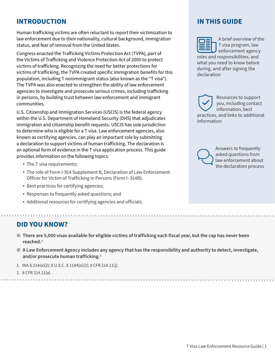### <span id="page-4-0"></span>**INTRODUCTION**

Human traficking victims are ofen reluctant to report their victimization to law enforcement due to their nationality, cultural background, immigration status, and fear of removal from the United States.

Congress enacted the Traficking Victims Protection Act (TVPA), part of the Victims of Traficking and Violence Protection Act of 2000 to protect victims of traficking. Recognizing the need for better protections for victims of traficking, the TVPA created specific immigration benefits for this population, including T nonimmigrant status (also known as the "T visa"). The TVPA was also enacted to strengthen the ability of law enforcement agencies to investigate and prosecute serious crimes, including traficking in persons, by building trust between law enforcement and immigrant communities.

U.S. Citizenship and Immigration Services (USCIS) is the federal agency within the U.S. Department of Homeland Security (DHS) that adjudicates immigration and citizenship benefit requests. USCIS has sole jurisdiction to determine who is eligible for a T visa. Law enforcement agencies, also known as certifying agencies, can play an important role by submitting a declaration to support victims of human traficking. The declaration is an optional form of evidence in the T visa application process. This guide provides information on the following topics:

- The T visa requirements;
- The role of Form I-914 Supplement B, Declaration of Law Enforcement Officer for Victim of Trafficking in Persons (Form I- 914B);
- Best practices for certifying agencies;
- Responses to frequently asked questions; and
- Additional resources for certifying agencies and officials.

### **DID YOU KNOW?**

- ¤ **There are 5,000 visas available for eligible victims of trafficking each fiscal year, but the cap has never been reached.1**
- ¤ **A Law Enforcement Agency includes any agency that has the responsibility and authority to detect, investigate, and/or prosecute human trafficking.2**
- 1. INA § 214(o)(2); 8 U.S.C. § 1184(o)(2); 8 CFR 214.11(j).
- 2. 8 CFR 214.11(a).

### **IN THIS GUIDE**

A brief overview of the T visa program, law enforcement agency roles and responsibilities, and what you need to know before during, and after signing the declaration

Resources to support you, including contact information, best practices, and links to additional information



Answers to frequently asked questions from law enforcement about the declaration process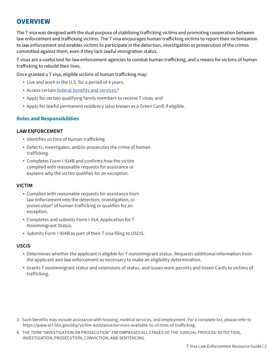### <span id="page-5-0"></span>**OVERVIEW**

The T visa was designed with the dual purpose of stabilizing traficking victims and promoting cooperation between law enforcement and traficking victims. The T visa encourages human traficking victims to report their victimization to law enforcement and enables victims to participate in the detection, investigation or prosecution of the crimes committed against them, even if they lack lawful immigration status.

T visas are a useful tool for law enforcement agencies to combat human traficking, and a means for victims of human traficking to rebuild their lives.

Once granted a T visa, eligible victims of human traficking may:

- Live and work in the U.S. for a period of 4 years;
- Access certain <u>federal benefits and services</u>;<sup>3</sup>
- Apply for certain qualifying family members to receive T visas; and
- Apply for lawful permanent residency (also known as a Green Card) if eligible.

### **Roles and Responsibilities**

### **LAW ENFORCEMENT**

- Identifies victims of human trafficking
- Detects, investigates, and/or prosecutes the crime of human trafficking.
- Completes Form I-914B and confirms how the victim complied with reasonable requests for assistance or explains why the victim qualifies for an exception.

### **VICTIM**

- Complies with reasonable requests for assistance from law enforcement into the detection, investigation, or prosecution<sup>4</sup> of human trafficking or qualifies for an exception.
- Completes and submits Form I-914, Application for T Nonimmigrant Status.
- Submits Form I-914B as part of their T visa filing to USCIS.

### **USCIS**

- Determines whether the applicant is eligible for T nonimmigrant status. Requests additional information from the applicant and law enforcement as necessary to make an eligibility determination.
- Grants T nonimmigrant status and extensions of status, and issues work permits and Green Cards to victims of trafficking.

- 3. Such benefits may include assistance with housing, medical services, and employment. For a complete list, please refer to [https://www.acf.hhs.gov/otip/victim-assistance/services-available-to-victims-of-trafficking.](https://www.acf.hhs.gov/otip/victim-assistance/services-available-to-victims-of-trafficking)
- 4. THE TERM "INVESTIGATION OR PROSECUTION" ENCOMPASSES ALL STAGES OF THE JUDICIAL PROCESS: DETECTION, INVESTIGATION, PROSECUTION, CONVICTION, AND SENTENCING.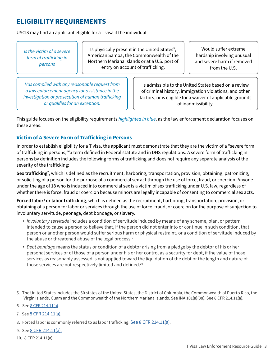### <span id="page-6-0"></span>**ELIGIBILITY REQUIREMENTS**

USCIS may find an applicant eligible for a T visa if the individual:

*Is the victim of a severe form of traficking in persons* 

Is physically present in the United States<sup>5</sup>, American Samoa, the Commonwealth of the Northern Mariana Islands or at a U.S. port of entry on account of trafficking.

Would suffer extreme hardship involving unusual and severe harm if removed from the U.S.

*Has complied with any reasonable request from a law enforcement agency for assistance in the investigation or prosecution of human traficking or qualifies for an exception.* 

Is admissible to the United States based on a review of criminal history, immigration violations, and other factors, or is eligible for a waiver of applicable grounds of inadmissibility.

This guide focuses on the eligibility requirements *highlighted in blue*, as the law enforcement declaration focuses on these areas.

### **Victim of A Severe Form of Traficking in Persons**

In order to establish eligibility for a T visa, the applicant must demonstrate that they are the victim of a "severe form of trafficking in persons,"6a term defined in Federal statute and in DHS regulations. A severe form of trafficking in persons by definition includes the following forms of traficking and does not require any separate analysis of the severity of the traficking:

**Sex traficking** , which is defined as the recruitment, harboring, transportation, provision, obtaining, patronizing, **7** or soliciting of a person for the purpose of a commercial sex act through the use of force, fraud, or coercion. Anyone under the age of 18 who is induced into commercial sex is a victim of sex traficking under U.S. law, regardless of whether there is force, fraud or coercion because minors are legally incapable of consenting to commercial sex acts.

Forced labor<sup>s</sup> or labor trafficking, which is defined as the recruitment, harboring, transportation, provision, or obtaining of a person for labor or services through the use of force, fraud, or coercion for the purpose of subjection to involuntary servitude, peonage, debt bondage, or slavery.

- *Involuntary servitude* includes a condition of servitude induced by means of any scheme, plan, or pattern intended to cause a person to believe that, if the person did not enter into or continue in such condition, that person or another person would suffer serious harm or physical restraint, or a condition of servitude induced by the abuse or threatened abuse of the legal process. 9
- *Debt bondage* means the status or condition of a debtor arising from a pledge by the debtor of his or her personal services or of those of a person under his or her control as a security for debt, if the value of those services as reasonably assessed is not applied toward the liquidation of the debt or the length and nature of those services are not respectively limited and defined.<sup>10</sup>
- 5. The United States includes the 50 states of the United States, the District of Columbia, the Commonwealth of Puerto Rico, the Virgin Islands, Guam and the Commonwealth of the Northern Mariana Islands. See INA 101(a)(38). See 8 CFR 214.11(a).
- 6. See <u>8 CFR 214.11(a)</u>.
- 7. See [8 CFR 214.11\(a\)](https://ecfr.gov/cgi-bin/text-idx?&node=se8.1.214_111).

8. Forced labor is commonly referred to as labor trafficking. [See 8 CFR 214.11\(a\).](https://ecfr.gov/cgi-bin/text-idx?&node=se8.1.214_111)

- 9. See [8 CFR 214.11\(a\).](https://ecfr.gov/cgi-bin/text-idx?&node=se8.1.214_111)
- 10. 8 CFR 214.11(a).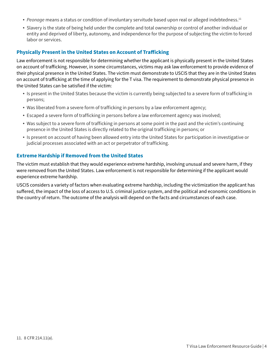- <span id="page-7-0"></span>• Peonage means a status or condition of involuntary servitude based upon real or alleged indebtedness.<sup>11</sup>
- Slavery is the state of being held under the complete and total ownership or control of another individual or entity and deprived of liberty, autonomy, and independence for the purpose of subjecting the victim to forced labor or services.

### **Physically Present in the United States on Account of Traficking**

Law enforcement is not responsible for determining whether the applicant is physically present in the United States on account of traficking. However, in some circumstances, victims may ask law enforcement to provide evidence of their physical presence in the United States. The victim must demonstrate to USCIS that they are in the United States on account of traficking at the time of applying for the T visa. The requirement to demonstrate physical presence in the United States can be satisfied if the victim:

- Is present in the United States because the victim is currently being subjected to a severe form of trafficking in persons;
- Was liberated from a severe form of trafficking in persons by a law enforcement agency;
- Escaped a severe form of trafficking in persons before a law enforcement agency was involved;
- Was subject to a severe form of trafficking in persons at some point in the past and the victim's continuing presence in the United States is directly related to the original trafficking in persons; or
- Is present on account of having been allowed entry into the United States for participation in investigative or judicial processes associated with an act or perpetrator of trafficking.

### **Extreme Hardship if Removed from the United States**

The victim must establish that they would experience extreme hardship, involving unusual and severe harm, if they were removed from the United States. Law enforcement is not responsible for determining if the applicant would experience extreme hardship.

USCIS considers a variety of factors when evaluating extreme hardship, including the victimization the applicant has sufered, the impact of the loss of access to U.S. criminal justice system, and the political and economic conditions in the country of return. The outcome of the analysis will depend on the facts and circumstances of each case.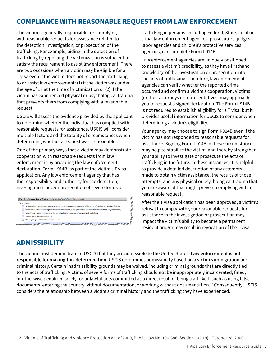### <span id="page-8-0"></span>**COMPLIANCE WITH REASONABLE REQUEST FROM LAW ENFORCEMENT**

The victim is generally responsible for complying with reasonable requests for assistance related to the detection, investigation, or prosecution of the traficking. For example, aiding in the detection of traficking by reporting the victimization is suficient to satisfy the requirement to assist law enforcement. There are two occasions when a victim may be eligible for a T visa even if the victim does not report the traficking to or assist law enforcement: (1) if the victim was under the age of 18 at the time of victimization or (2) if the victim has experienced physical or psychological trauma that prevents them from complying with a reasonable request.

USCIS will assess the evidence provided by the applicant to determine whether the individual has complied with reasonable requests for assistance. USCIS will consider multiple factors and the totality of circumstances when determining whether a request was "reasonable."

One of the primary ways that a victim may demonstrate cooperation with reasonable requests from law enforcement is by providing the law enforcement declaration, Form I-914B, as part of the victim's T visa application. Any law enforcement agency that has the responsibility and authority for the detection, investigation, and/or prosecution of severe forms of

| The applicant: |                                                                                                                             |
|----------------|-----------------------------------------------------------------------------------------------------------------------------|
|                | Has complied with requests for assistance in the investigation/prosecution of the crime of trafficking. (Explain below.)    |
|                | Has failed to comply with requests to assist in the investigation/prosecution of the crime of trafficking. (Explain below.) |
|                | Has not been requested to assist in the investigation/prosecution of any crime of trafficking.                              |
|                | Has not yet attained the age of 18.                                                                                         |
|                | Other, specify on attached additional sheets.                                                                               |

traficking in persons, including Federal, State, local or tribal law enforcement agencies, prosecutors, judges, labor agencies and children's protective services agencies, can complete Form I-914B.

Law enforcement agencies are uniquely positioned to assess a victim's credibility, as they have firsthand knowledge of the investigation or prosecution into the acts of traficking. Therefore, law enforcement agencies can verify whether the reported crime occurred and confirm a victim's cooperation. Victims (or their attorneys or representatives) may approach you to request a signed declaration. The Form I-914B is not required to establish eligibility for a T visa, but it provides useful information for USCIS to consider when determining a victim's eligibility.

Your agency may choose to sign Form I-914B even if the victim has not responded to reasonable requests for assistance. Signing Form I-914B in these circumstances may help to stabilize the victim, and thereby strengthen your ability to investigate or prosecute the acts of traficking in the future. In these instances, it is helpful to provide a detailed description of any attempts made to obtain victim assistance, the results of those attempts, and any physical or psychological trauma that you are aware of that might prevent complying with a reasonable request.

Afer the T visa application has been approved, a victim's refusal to comply with your reasonable requests for assistance in the investigation or prosecution may impact the victim's ability to become a permanent resident and/or may result in revocation of the T visa.

### **ADMISSIBILITY**

The victim must demonstrate to USCIS that they are admissible to the United States. **Law enforcement is not responsible for making this determination**. USCIS determines admissibility based on a victim's immigration and criminal history. Certain inadmissibility grounds may be waived, including criminal grounds that are directly tied to the acts of traficking. Victims of severe forms of traficking should not be inappropriately incarcerated, fined, or otherwise penalized solely for unlawful acts committed as a direct result of being traficked, such as using false documents, entering the country without documentation, or working without [documentation.12](https://documentation.12) Consequently, USCIS considers the relationship between a victim's criminal history and the traficking they have experienced.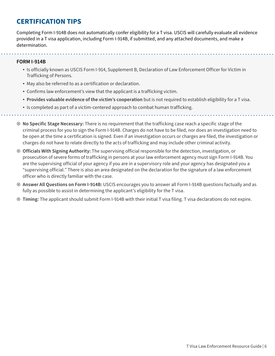### <span id="page-9-0"></span>**CERTIFICATION TIPS**

Completing Form I-914B does not automatically confer eligibility for a T visa. USCIS will carefully evaluate all evidence provided in a T visa application, including Form I-914B, if submitted, and any attached documents, and make a determination.

### **FORM I-914B**

- Is officially known as USCIS Form I-914, Supplement B, Declaration of Law Enforcement Officer for Victim in Trafficking of Persons.
- May also be referred to as a certification or declaration.
- Confirms law enforcement's view that the applicant is a trafficking victim.

. . . . . . . . . . . . . .

- **Provides valuable evidence of the victim's cooperation** but is not required to establish eligibility for a T visa.
- Is completed as part of a victim-centered approach to combat human trafficking.
- ¤ **No Specific Stage Necessary:** There is no requirement that the trafficking case reach a specific stage of the criminal process for you to sign the Form I-914B. Charges do not have to be filed, nor does an investigation need to be open at the time a certification is signed. Even if an investigation occurs or charges are filed, the investigation or charges do not have to relate directly to the acts of trafficking and may include other criminal activity.
- ¤ **Officials With Signing Authority:** The supervising official responsible for the detection, investigation, or prosecution of severe forms of trafficking in persons at your law enforcement agency must sign Form I-914B. You are the supervising official of your agency if you are in a supervisory role and your agency has designated you a "supervising official." There is also an area designated on the declaration for the signature of a law enforcement officer who is directly familiar with the case.
- ¤ **Answer All Questions on Form I-914B:** USCIS encourages you to answer all Form I-914B questions factually and as fully as possible to assist in determining the applicant's eligibility for the T visa.
- ¤ **Timing:** The applicant should submit Form I-914B with their initial T visa filing. T visa declarations do not expire.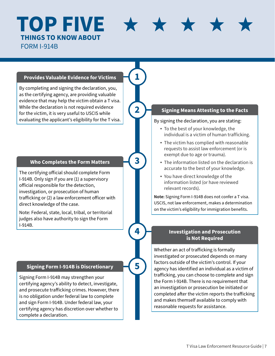# **TOP FIVE THI NGS T O KNOW A BOU T**

FORM I-914B

### **Provides Valuable Evidence for Victims 1**

By completing and signing the declaration, you, as the certifying agency, are providing valuable evidence that may help the victim obtain a T visa. While the declaration is not required evidence for the victim, it is very useful to USCIS while evaluating the applicant's eligibility for the T visa.

### **Who Completes the Form Matters 3**

The certifying official should complete Form I-914B. Only sign if you are (1) a supervisory official responsible for the detection, investigation, or prosecution of human trafficking or (2) a law enforcement officer with direct knowledge of the case.

Note: Federal, state, local, tribal, or territorial judges also have authority to sign the Form I-914B.

### **Signing Form I-914B is Discretionary 5**

Signing Form I-914B may strengthen your certifying agency's ability to detect, investigate, and prosecute trafficking crimes. However, there is no obligation under federal law to complete and sign Form I-914B. Under federal law, your certifying agency has discretion over whether to complete a declaration.

### **2 Signing Means Attesting to the Facts**

### By signing the declaration, you are stating:

 $\star$ 

- To the best of your knowledge, the individual is a victim of human trafficking.
- The victim has complied with reasonable requests to assist law enforcement (or is exempt due to age or trauma).
- The information listed on the declaration is accurate to the best of your knowledge.
- You have direct knowledge of the information listed (or have reviewed relevant records).

**Note:** Signing Form I-914B does not confer a T visa. USCIS, not law enforcement, makes a determination on the victim's eligibility for immigration benefits.

### **4 Investigation and Prosecution is Not Required**

Whether an act of trafficking is formally investigated or prosecuted depends on many factors outside of the victim's control. If your agency has identified an individual as a victim of trafficking, you can choose to complete and sign the Form I-914B. There is no requirement that an investigation or prosecution be initiated or completed after the victim reports the trafficking and makes themself available to comply with reasonable requests for assistance.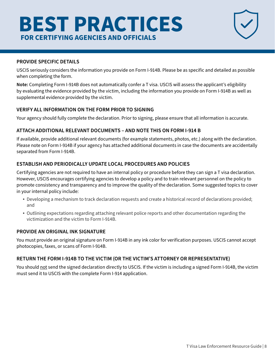# <span id="page-11-0"></span>**BEST PRACTICES** FOR CERTIFYING AGENCIES AND OFFICIALS

### **PROVIDE SPECIFIC DETAILS**

USCIS seriously considers the information you provide on Form I-914B. Please be as specific and detailed as possible when completing the form.

**Note:** Completing Form I-914B does not automatically confer a T visa. USCIS will assess the applicant's eligibility by evaluating the evidence provided by the victim, including the information you provide on Form I-914B as well as supplemental evidence provided by the victim.

### **VERIFY ALL INFORMATION ON THE FORM PRIOR TO SIGNING**

Your agency should fully complete the declaration. Prior to signing, please ensure that all information is accurate.

### **ATTACH ADDITIONAL RELEVANT DOCUMENTS – AND NOTE THIS ON FORM I-914 B**

If available, provide additional relevant documents (for example statements, photos, etc.) along with the declaration. Please note on Form I-914B if your agency has attached additional documents in case the documents are accidentally separated from Form I-914B.

### **ESTABLISH AND PERIODICALLY UPDATE LOCAL PROCEDURES AND POLICIES**

Certifying agencies are not required to have an internal policy or procedure before they can sign a T visa declaration. However, USCIS encourages certifying agencies to develop a policy and to train relevant personnel on the policy to promote consistency and transparency and to improve the quality of the declaration. Some suggested topics to cover in your internal policy include:

- Developing a mechanism to track declaration requests and create a historical record of declarations provided; and
- Outlining expectations regarding attaching relevant police reports and other documentation regarding the victimization and the victim to Form I-914B.

### **PROVIDE AN ORIGINAL INK SIGNATURE**

You must provide an original signature on Form I-914B in any ink color for verification purposes. USCIS cannot accept photocopies, faxes, or scans of Form I-914B.

### **RETURN THE FORM I-914B TO THE VICTIM (OR THE VICTIM'S ATTORNEY OR REPRESENTATIVE)**

You should not send the signed declaration directly to USCIS. If the victim is including a signed Form I-914B, the victim must send it to USCIS with the complete Form I-914 application.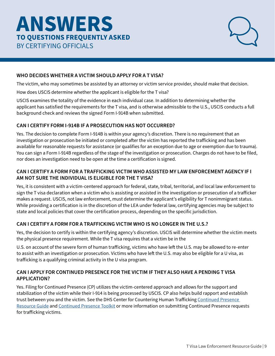## <span id="page-12-0"></span>**ANSWERS TO Q UESTION S FRE QU ENTL Y ASKED**  BY CERTIFYING OFFICIALS



### **WHO DECIDES WHETHER A VICTIM SHOULD APPLY FOR A T VISA?**

The victim, who may sometimes be assisted by an attorney or victim service provider, should make that decision.

How does USCIS determine whether the applicant is eligible for the T visa?

USCIS examines the totality of the evidence in each individual case. In addition to determining whether the applicant has satisfied the requirements for the T visa, and is otherwise admissible to the U.S., USCIS conducts a full background check and reviews the signed Form I-914B when submitted.

### **CAN I CERTIFY FORM I-914B IF A PROSECUTION HAS NOT OCCURRED?**

Yes. The decision to complete Form I-914B is within your agency's discretion. There is no requirement that an investigation or prosecution be initiated or completed afer the victim has reported the traficking and has been available for reasonable requests for assistance (or qualifies for an exception due to age or exemption due to trauma). You can sign a Form I-914B regardless of the stage of the investigation or prosecution. Charges do not have to be filed, nor does an investigation need to be open at the time a certification is signed.

### **CAN I CERTIFY A FORM FOR A TRAFFICKING VICTIM WHO ASSISTED MY LAW ENFORCEMENT AGENCY IF I AM NOT SURE THE INDIVIDUAL IS ELIGIBLE FOR THE T VISA?**

Yes, it is consistent with a victim-centered approach for federal, state, tribal, territorial, and local law enforcement to sign the T visa declaration when a victim who is assisting or assisted in the investigation or prosecution of a traficker makes a request. USCIS, not law enforcement, must determine the applicant's eligibility for T nonimmigrant status. While providing a certification is in the discretion of the LEA under federal law, certifying agencies may be subject to state and local policies that cover the certification process, depending on the specific jurisdiction.

### **CAN I CERTIFY A FORM FOR A TRAFFICKING VICTIM WHO IS NO LONGER IN THE U.S.?**

Yes, the decision to certify is within the certifying agency's discretion. USCIS will determine whether the victim meets the physical presence requirement. While the T visa requires that a victim be in the

U.S. on account of the severe form of human trafficking, victims who have left the U.S. may be allowed to re-enter to assist with an investigation or prosecution. Victims who have left the U.S. may also be eligible for a U visa, as traficking is a qualifying criminal activity in the U visa program.

### **CAN I APPLY FOR CONTINUED PRESENCE FOR THE VICTIM IF THEY ALSO HAVE A PENDING T VISA APPLICATION?**

Yes. Filing for Continued Presence (CP) utilizes the victim-centered approach and allows for the support and stabilization of the victim while their I-914 is being processed by USCIS. CP also helps build rapport and establish trust between you and the victim. See the DHS Center for Countering Human Trafficking Continued Presence [Resource Guide](https://www.ice.gov/sites/default/files/documents/CCHT CP Resource Guide Jul 2021_7-28_FINAL_4.2 - Signed.pdf) and [Continued Presence Toolkit](https://www.ice.gov/doclib/human-trafficking/ccht/continuedPresenceToolkit.pdf) or more information on submitting Continued Presence requests for traficking victims.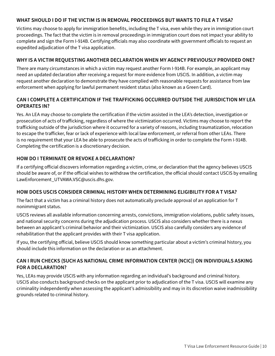### **WHAT SHOULD I DO IF THE VICTIM IS IN REMOVAL PROCEEDINGS BUT WANTS TO FILE A T VISA?**

Victims may choose to apply for immigration benefits, including the T visa, even while they are in immigration court proceedings. The fact that the victim is in removal proceedings in immigration court does not impact your ability to complete and sign the Form I-914B. Certifying oficials may also coordinate with government oficials to request an expedited adjudication of the T visa application.

### **WHY IS A VICTIM REQUESTING ANOTHER DECLARATION WHEN MY AGENCY PREVIOUSLY PROVIDED ONE?**

There are many circumstances in which a victim may request another Form I-914B. For example, an applicant may need an updated declaration afer receiving a request for more evidence from USCIS. In addition, a victim may request another declaration to demonstrate they have complied with reasonable requests for assistance from law enforcement when applying for lawful permanent resident status (also known as a Green Card).

### **CAN I COMPLETE A CERTIFICATION IF THE TRAFFICKING OCCURRED OUTSIDE THE JURISDICTION MY LEA OPERATES IN?**

Yes. An LEA may choose to complete the certification if the victim assisted in the LEA's detection, investigation or prosecution of acts of traficking, regardless of where the victimization occurred. Victims may choose to report the traficking outside of the jurisdiction where it occurred for a variety of reasons, including traumatization, relocation to escape the traficker, fear or lack of experience with local law enforcement, or referral from other LEAs. There is no requirement that your LEA be able to prosecute the acts of traficking in order to complete the Form I-914B. Completing the certification is a discretionary decision.

### **HOW DO I TERMINATE OR REVOKE A DECLARATION?**

If a certifying oficial discovers information regarding a victim, crime, or declaration that the agency believes USCIS should be aware of, or if the oficial wishes to withdraw the certification, the oficial should contact USCIS by emailing [LawEnforcement\\_UTVAWA.VSC@uscis.dhs.gov.](mailto:LawEnforcement_UTVAWA.VSC@uscis.dhs.gov)

### **HOW DOES USCIS CONSIDER CRIMINAL HISTORY WHEN DETERMINING ELIGIBILITY FOR A T VISA?**

The fact that a victim has a criminal history does not automatically preclude approval of an application for T nonimmigrant status.

USCIS reviews all available information concerning arrests, convictions, immigration violations, public safety issues, and national security concerns during the adjudication process. USCIS also considers whether there is a nexus between an applicant's criminal behavior and their victimization. USCIS also carefully considers any evidence of rehabilitation that the applicant provides with their T visa application.

If you, the certifying oficial, believe USCIS should know something particular about a victim's criminal history, you should include this information on the declaration or as an attachment.

### **CAN I RUN CHECKS (SUCH AS NATIONAL CRIME INFORMATION CENTER (NCIC)) ON INDIVIDUALS ASKING FOR A DECLARATION?**

Yes, LEAs may provide USCIS with any information regarding an individual's background and criminal history. USCIS also conducts background checks on the applicant prior to adjudication of the T visa. USCIS will examine any criminality independently when assessing the applicant's admissibility and may in its discretion waive inadmissibility grounds related to criminal history.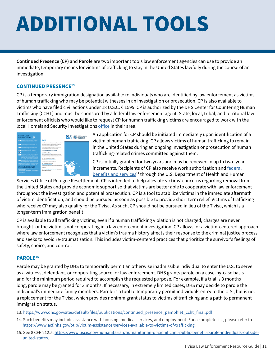# <span id="page-14-0"></span>**ADDITIONAL TOOLS**

**Continued Presence (CP)** and **Parole** are two important tools law enforcement agencies can use to provide an immediate, temporary means for victims of traficking to stay in the United States lawfully during the course of an investigation.

### **CONTINUED PRESENCE13**

CP is a temporary immigration designation available to individuals who are identified by law enforcement as victims of human traficking who may be potential witnesses in an investigation or prosecution. CP is also available to victims who have filed civil actions under 18 U.S.C. § 1595. CP is authorized by the DHS Center for Countering Human Traficking (CCHT) and must be sponsored by a federal law enforcement agent. State, local, tribal, and territorial law enforcement oficials who would like to request CP for human traficking victims are encouraged to work with the local Homeland Security Investigations office in their area.



An application for CP should be initiated immediately upon identification of a victim of human traficking. CP allows victims of human traficking to remain in the United States during an ongoing investigation or prosecution of human traficking-related crimes committed against them.

CP is initially granted for two years and may be renewed in up to two- year increments. Recipients of CP also receive work authorization and federal [benefits and services](https://www.acf.hhs.gov/otip/victim-assistance/services-available-to-victims-of-trafficking)<sup>14</sup> through the U.S. Department of Health and Human

Services Ofice of Refugee Resettlement. CP is intended to help alleviate victims' concerns regarding removal from the United States and provide economic support so that victims are better able to cooperate with law enforcement throughout the investigation and potential prosecution. CP is a tool to stabilize victims in the immediate afermath of victim identification, and should be pursued as soon as possible to provide short term relief. Victims of traficking who receive CP may also qualify for the T visa. As such, CP should not be pursued in lieu of the T visa, which is a longer-term immigration benefit.

CP is available to all traficking victims, even if a human traficking violation is not charged, charges are never brought, or the victim is not cooperating in a law enforcement investigation. CP allows for a victim-centered approach where law enforcement recognizes that a victim's trauma history afects their response to the criminal justice process and seeks to avoid re-traumatization. This includes victim-centered practices that prioritize the survivor's feelings of safety, choice, and control.

### **PAROLE15**

Parole may be granted by DHS to temporarily permit an otherwise inadmissible individual to enter the U.S. to serve as a witness, defendant, or cooperating source for law enforcement. DHS grants parole on a case-by-case basis and for the minimum period required to accomplish the requested purpose. For example, if a trial is 3 months long, parole may be granted for 3 months. If necessary, in extremely limited cases, DHS may decide to parole the individual's immediate family members. Parole is a tool to temporarily permit individuals entry to the U.S., but is not a replacement for the T visa, which provides nonimmigrant status to victims of traficking and a path to permanent immigration status.

13. [https://www.dhs.gov/sites/default/files/publications/continued\\_presence\\_pamphlet\\_ccht\\_final.pdf](https://www.dhs.gov/sites/default/files/publications/continued_presence_pamphlet_ccht_final.pdf)

- 14. Such benefits may include assistance with housing, medical services, and employment. For a complete list, please refer to [https://www.acf.hhs.gov/otip/victim-assistance/services-available-to-victims-of-traficking](https://www.acf.hhs.gov/otip/victim-assistance/services-available-to-victims-of-trafficking).
- 15. See 8 CFR 212.5; [https://www.uscis.gov/humanitarian/humanitarian-or-significant-public-benefit-parole-individuals-outside](https://www.uscis.gov/humanitarian/humanitarian-or-significant-public-benefit-parole-individuals-outside-united-states)[united-states.](https://www.uscis.gov/humanitarian/humanitarian-or-significant-public-benefit-parole-individuals-outside-united-states)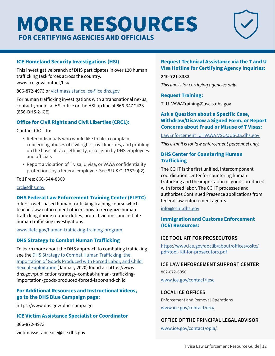# <span id="page-15-0"></span>**MORE RESOURCES FOR C ERTIFYING A GENCIES AND OFF ICIAL S**



### **ICE Homeland Security Investigations (HSI)**

This investigative branch of DHS participates in over 120 human traficking task forces across the country. <www.ice.gov/contact/hsi>/

866-872-4973 or [victimassistance.ice@ice.dhs.gov](mailto:victimassistance.ice@ice.dhs.gov)

For human traficking investigations with a transnational nexus, contact your local HSI ofice or the HSI tip line at 866-347-2423 (866-DHS-2-ICE).

### **Ofice for Civil Rights and Civil Liberties (CRCL):**

Contact CRCL to:

- Refer individuals who would like to file a complaint concerning abuses of civil rights, civil liberties, and profiling on the basis of race, ethnicity, or religion by DHS employees and officials
- Report a violation of T visa, U visa, or VAWA confidentiality protections by a federal employee. See 8 U.S.C. 1367(a)(2).

Toll Free: 866-644-8360

[crcl@dhs.gov](mailto:crcl@dhs.gov) 

### **DHS Federal Law Enforcement Training Center (FLETC)**

offers a web-based human trafficking training course which teaches law enforcement oficers how to recognize human traficking during routine duties, protect victims, and initiate human traficking investigations.

[www.fletc.gov/human-traficking-training-program](http://www.fletc.gov/human-trafficking-training-program)

### **DHS Strategy to Combat Human Traficking**

To learn more about the DHS approach to combating traficking, see the **DHS Strategy to Combat Human Trafficking**, the [Importation of Goods Produced with Forced Labor, and Child](https://www.dhs.gov/sites/default/files/publications/20_0115_plcy_human-trafficking-forced-labor-child-exploit-strategy.pdf DHS Strategy to Combat Human Traffickig%2c the Importation of Goods Produced with Forced Labor%2c and Child Sexual Exploitation)  [Sexual Exploitation](https://www.dhs.gov/sites/default/files/publications/20_0115_plcy_human-trafficking-forced-labor-child-exploit-strategy.pdf DHS Strategy to Combat Human Traffickig%2c the Importation of Goods Produced with Forced Labor%2c and Child Sexual Exploitation) (January 2020) found at: https://www. dhs.gov/publication/strategy-combat-human- trafickingimportation-goods-produced-forced-labor-and-child

### **For Additional Resources and Instructional Videos, go to the DHS Blue Campaign page:**

<https://www.dhs.gov/blue-campaign>

### **ICE Victim Assistance Specialist or Coordinator**

866-872-4973 [victimassistance.ice@ice.dhs.gov](mailto:victimassistance.ice@ice.dhs.gov)

### **Request Technical Assistance via the T and U Visa Hotline for Certifying Agency Inquiries:**

**240-721-3333** 

*This line is for certifying agencies only.* 

### **Request Training:**

[T\\_U\\_VAWATraining@uscis.dhs.gov](mailto:T_U_VAWATraining@uscis.dhs.gov) 

### **Ask a Question about a Specific Case, Withdraw/Disavow a Signed Form, or Report Concerns about Fraud or Misuse of T Visas:**

LawEnforcement\_UTVAWA.VSC@USCIS.dhs.gov

*This e-mail is for law enforcement personnel only.* 

### **DHS Center for Countering Human Traficking**

The CCHT is the first unified, intercomponent coordination center for countering human traficking and the importation of goods produced with forced labor. The CCHT processes and authorizes Continued Presence applications from federal law enforcement agents.

[info@ccht.dhs.gov](mailto:info@ccht.dhs.gov) 

### **Immigration and Customs Enforcement (ICE) Resources:**

### **ICE TOOL KIT FOR PROSECUTORS**

[https://www.ice.gov/doclib/about/ofices/osltc/](http://www.ice.gov/doclib/about/offices/osltc/)  [pdf/tool- kit-for-prosecutors.pdf](http://www.ice.gov/doclib/about/offices/osltc/) 

### **ICE LAW ENFORCEMENT SUPPORT CENTER**

802-872-6050

[www.ice.gov/contact/lesc](http://www.ice.gov/contact/lesc)

### **LOCAL ICE OFFICES**

Enforcement and Removal Operations

[www.ice.gov/contact/ero/](http://www.ice.gov/contact/ero/) 

### **OFFICE OF THE PRINCIPAL LEGAL ADVISOR**

[www.ice.gov/contact/opla/](http://www.ice.gov/contact/opla/)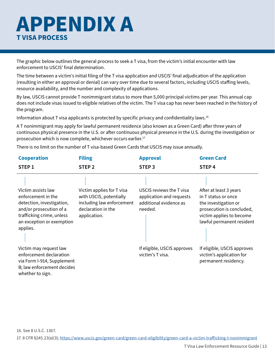# <span id="page-16-0"></span>**APPENDIX A T VISA PROCESS**

The graphic below outlines the general process to seek a T visa, from the victim's initial encounter with law enforcement to USCIS' final determination.

The time between a victim's initial filing of the T visa application and USCIS' final adjudication of the application (resulting in either an approval or denial) can vary over time due to several factors, including USCIS stafing levels, resource availability, and the number and complexity of applications.

By law, USCIS cannot provide T nonimmigrant status to more than 5,000 principal victims per year. This annual cap does not include visas issued to eligible relatives of the victim. The T visa cap has never been reached in the history of the program.

Information about T visa applicants is protected by specific privacy and confidentiality laws.<sup>16</sup>

A T nonimmigrant may apply for lawful permanent residence (also known as a Green Card) after three years of continuous physical presence in the U.S. or after continuous physical presence in the U.S. during the investigation or prosecution which is now complete, whichever occurs earlier.<sup>17</sup>

There is no limit on the number of T visa-based Green Cards that USCIS may issue annually.

| <b>Cooperation</b>                                                                                                                                                     | <b>Filing</b>                                                                                                           | <b>Approval</b>                                                                           | <b>Green Card</b>                                                                                                                                           |
|------------------------------------------------------------------------------------------------------------------------------------------------------------------------|-------------------------------------------------------------------------------------------------------------------------|-------------------------------------------------------------------------------------------|-------------------------------------------------------------------------------------------------------------------------------------------------------------|
| STEP <sub>1</sub>                                                                                                                                                      | STEP <sub>2</sub>                                                                                                       | STEP <sub>3</sub>                                                                         | STEP <sub>4</sub>                                                                                                                                           |
| Victim assists law<br>enforcement in the<br>detection, investigation,<br>and/or prosecution of a<br>trafficking crime, unless<br>an exception or exemption<br>applies. | Victim applies for T visa<br>with USCIS, potentially<br>including law enforcement<br>declaration in the<br>application. | USCIS reviews the T visa<br>application and requests<br>additional evidence as<br>needed. | After at least 3 years<br>in T status or once<br>the investigation or<br>prosecution is concluded,<br>victim applies to become<br>lawful permanent resident |
| Victim may request law<br>enforcement declaration<br>via Form I-914, Supplement<br>B; law enforcement decides<br>whether to sign.                                      |                                                                                                                         | If eligible, USCIS approves<br>victim's T visa.                                           | If eligible, USCIS approves<br>victim's application for<br>permanent residency.                                                                             |